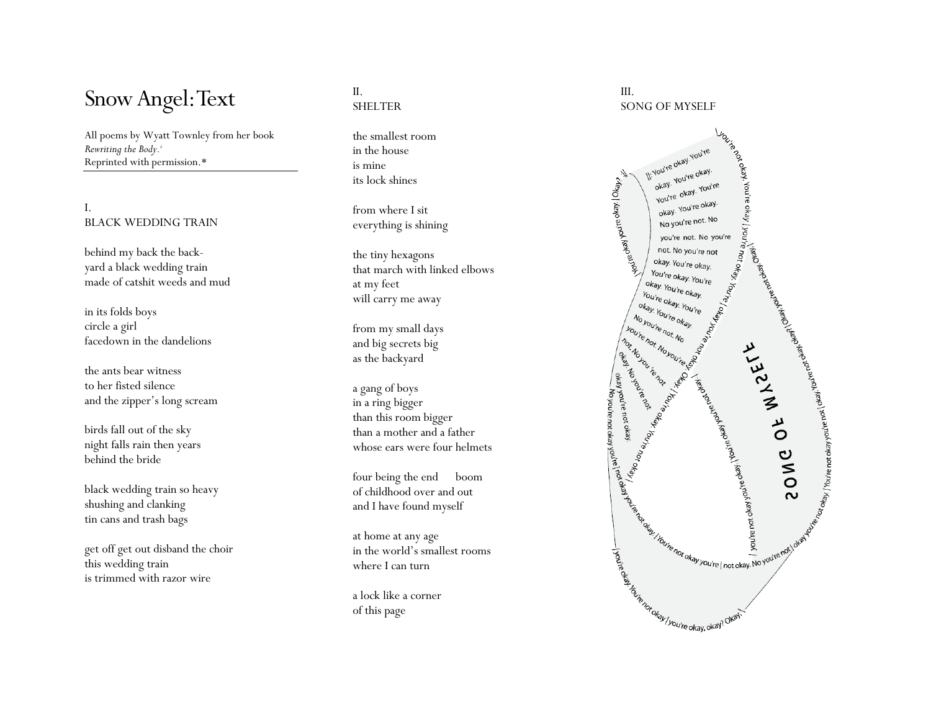# Snow Angel:Text

All poems by Wyatt Townley from her book *Rewriting the Body. i* Reprinted with permission.\*

I. BLACK WEDDING TRAIN

behind my back the back yard a black wedding train made of catshit weeds and mud

in its folds boys circle a girl facedown in the dandelions

the ants bear witness to her fisted silence and the zipper's long scream

birds fall out of the sky night falls rain then years behind the bride

black wedding train so heavy shushing and clanking tin cans and trash bags

get off get out disband the choir this wedding train is trimmed with razor wire

# II. SHELTER

the smallest room in the house is mine its lock shines

from where I sit everything is shining

the tiny hexagons that march with linked elbows at my feet will carry me away

from my small days and big secrets big as the backyard

a gang of boys in a ring bigger than this room bigger than a mother and a father whose ears were four helmets

four being the end boom of childhood over and out and I have found myself

at home at any age in the world's smallest rooms where I can turn

a lock like a corner of this page

III. SONG OF MYSELF

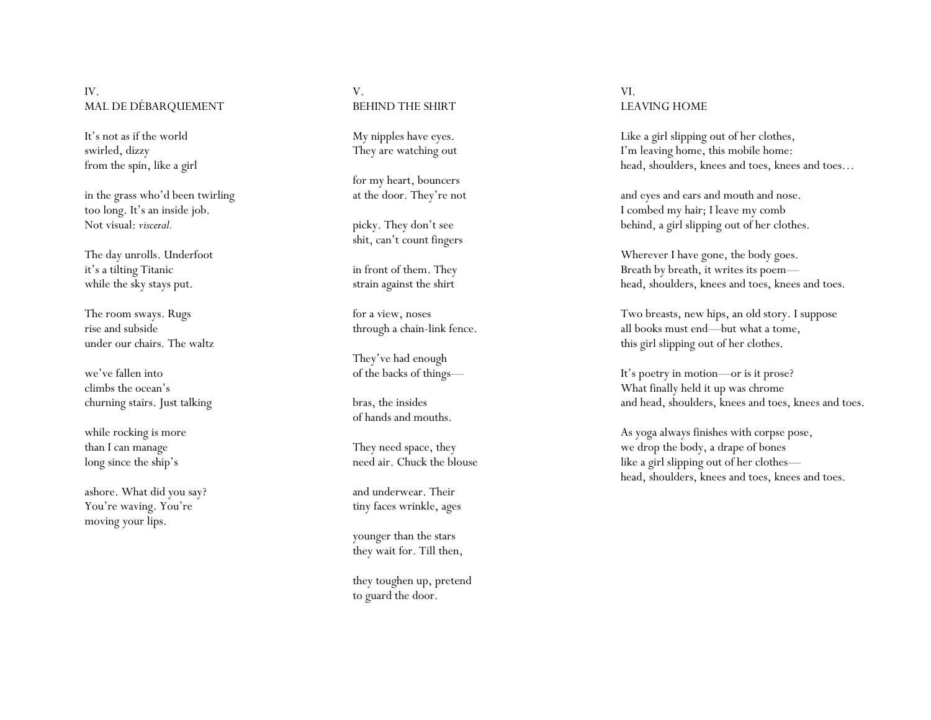# IV. MAL DE DÉBARQUEMENT

It's not as if the world swirled, dizzy from the spin, like a girl

in the grass who'd been twirling too long. It's an inside job. Not visual: *visceral.*

The day unrolls. Underfoot it's a tilting Titanic while the sky stays put.

The room sways. Rugs rise and subside under our chairs. The waltz

we've fallen into climbs the ocean's churning stairs. Just talking

while rocking is more than I can manage long since the ship's

ashore. What did you say? You're waving. You're moving your lips.

# V. BEHIND THE SHIRT

My nipples have eyes. They are watching out

for my heart, bouncers at the door. They're not

picky. They don't see shit, can't count fingers

in front of them. They strain against the shirt

for a view, noses through a chain -link fence.

They've had enough of the backs of things —

bras, the insides of hands and mouths.

They need space, they need air. Chuck the blouse

and underwear. Their tiny faces wrinkle, ages

younger than the stars they wait for. Till then,

they toughen up, pretend to guard the door.

#### VI. LEAVING HOME

Like a girl slipping out of her clothes, I'm leaving home, this mobile home: head, shoulders, knees and toes, knees and toes…

and eyes and ears and mouth and nose. I combed my hair; I leave my comb behind, a girl slipping out of her clothes.

Wherever I have gone, the body goes. Breath by breath, it writes its poem head, shoulders, knees and toes, knees and toes.

Two breasts, new hips, an old story. I suppose all books must end —but what a tome, this girl slipping out of her clothes.

It's poetry in motion —or is it prose? What finally held it up was chrome and head, shoulders, knees and toes, knees and toes.

As yoga always finishes with corpse pose, we drop the body, a drape of bones like a girl slipping out of her clothes head, shoulders, knees and toes, knees and toes.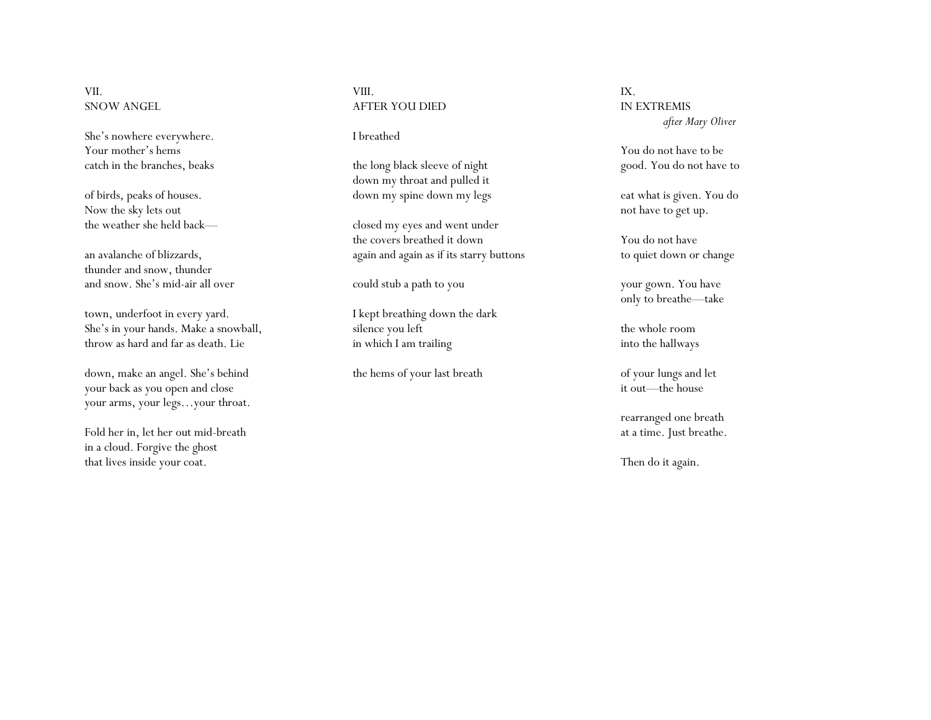### VII. SNOW ANGEL

She's nowhere everywhere. Your mother's hems catch in the branches, beaks

of birds, peaks of houses. Now the sky lets out the weather she held back—

an avalanche of blizzards, thunder and snow, thunder and snow. She's mid -air all over

town, underfoot in every yard. She's in your hands. Make a snowball, throw as hard and far as death. Lie

down, make an angel. She's behind your back as you open and close your arms, your legs…your throat.

Fold her in, let her out mid - breath in a cloud. Forgive the ghost that lives inside your coat.

# VIII. AFTER YOU DIED

I breathed

the long black sleeve of night down my throat and pulled it down my spine down my legs

closed my eyes and went under the covers breathed it down again and again as if its starry buttons

could stub a path to you

I kept breathing down the dark silence you left in which I am trailing

the hems of your last breath

# IX. IN EXTREMIS *after Mary Oliver*

You do not have to be good. You do not have to

eat what is given. You do not have to get up.

You do not have to quiet down or change

your gown. You have only to breathe —take

the whole room into the hallways

of your lungs and let it out—the house

rearranged one breath at a time. Just breathe.

Then do it again.